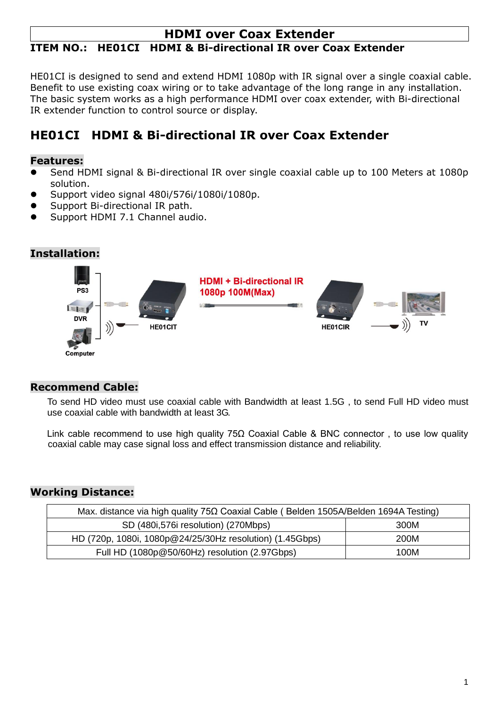## **HDMI over Coax Extender**

#### **ITEM NO.: HE01CI HDMI & Bi-directional IR over Coax Extender**

HE01CI is designed to send and extend HDMI 1080p with IR signal over a single coaxial cable. Benefit to use existing coax wiring or to take advantage of the long range in any installation. The basic system works as a high performance HDMI over coax extender, with Bi-directional IR extender function to control source or display.

# **HE01CI HDMI & Bi-directional IR over Coax Extender**

#### **Features:**

- Send HDMI signal & Bi-directional IR over single coaxial cable up to 100 Meters at 1080p solution.
- Support video signal 480i/576i/1080i/1080p.
- Support Bi-directional IR path.
- Support HDMI 7.1 Channel audio.

#### **Installation:**



#### **Recommend Cable:**

To send HD video must use coaxial cable with Bandwidth at least 1.5G , to send Full HD video must use coaxial cable with bandwidth at least 3G.

Link cable recommend to use high quality 75Ω Coaxial Cable & BNC connector , to use low quality coaxial cable may case signal loss and effect transmission distance and reliability.

### **Working Distance:**

| Max. distance via high quality 75Ω Coaxial Cable (Belden 1505A/Belden 1694A Testing) |      |  |  |
|--------------------------------------------------------------------------------------|------|--|--|
| SD (480i,576i resolution) (270Mbps)                                                  | 300M |  |  |
| HD (720p, 1080i, 1080p@24/25/30Hz resolution) (1.45Gbps)                             | 200M |  |  |
| Full HD (1080p@50/60Hz) resolution (2.97Gbps)                                        | 100M |  |  |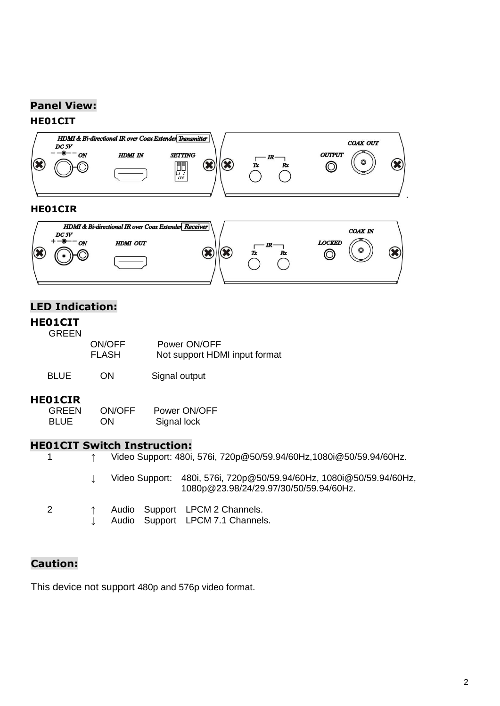#### **Panel View:**

#### **HE01CIT**



### **LED Indication:**

#### **HE01CIT**

|                                    | GREEN                                         | ON/OFF<br><b>FLASH</b> | Power ON/OFF<br>Not support HDMI input format                      |  |  |
|------------------------------------|-----------------------------------------------|------------------------|--------------------------------------------------------------------|--|--|
|                                    | <b>BLUE</b>                                   | <b>ON</b>              | Signal output                                                      |  |  |
|                                    | <b>HEO1CIR</b><br><b>GREEN</b><br><b>BLUE</b> | ON/OFF<br><b>ON</b>    | Power ON/OFF<br>Signal lock                                        |  |  |
| <b>HEO1CIT Switch Instruction:</b> |                                               |                        |                                                                    |  |  |
|                                    |                                               |                        | Video Support: 480i, 576i, 720p@50/59.94/60Hz,1080i@50/59.94/60Hz. |  |  |
|                                    |                                               |                        |                                                                    |  |  |

↓ Video Support: 480i, 576i, 720p@50/59.94/60Hz, 1080i@50/59.94/60Hz, 1080p@23.98/24/29.97/30/50/59.94/60Hz.

- 2 ↑ Audio Support LPCM 2 Channels.
	- ↓ Audio Support LPCM 7.1 Channels.

#### **Caution:**

This device not support 480p and 576p video format.